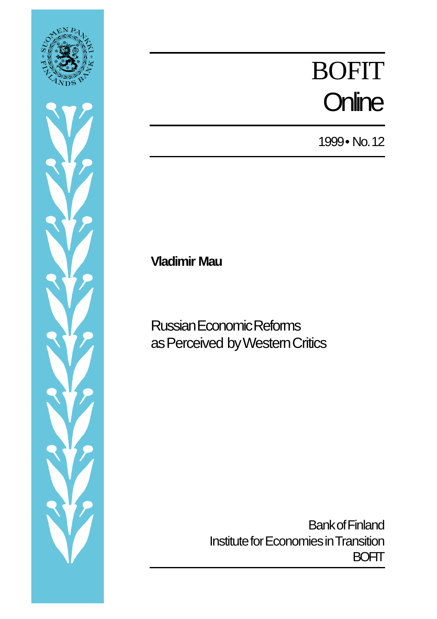



# BOFIT **Online**

1999 • No. 12

**Vladimir Mau**

Russian Economic Reforms as Perceived by Western Critics

> Bank of Finland Institute for Economies in Transition **BOFIT**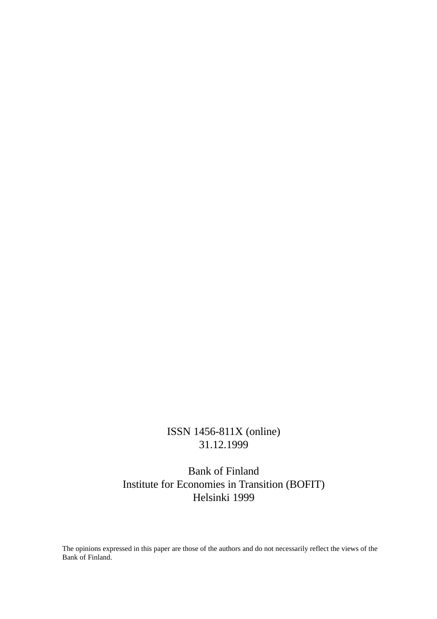#### ISSN 1456-811X (online) 31.12.1999

Bank of Finland Institute for Economies in Transition (BOFIT) Helsinki 1999

The opinions expressed in this paper are those of the authors and do not necessarily reflect the views of the Bank of Finland.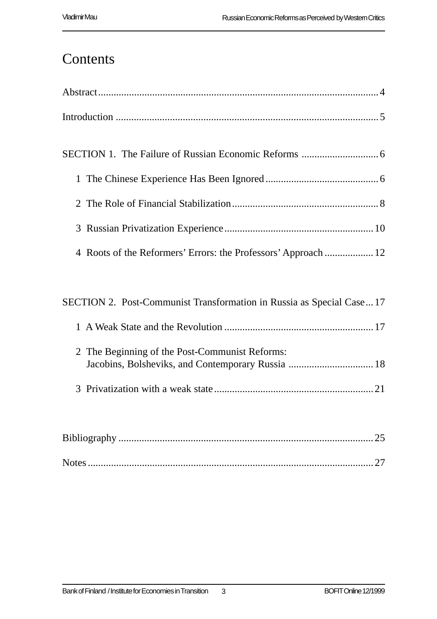## **Contents**

| 4 Roots of the Reformers' Errors: the Professors' Approach  12                                      |
|-----------------------------------------------------------------------------------------------------|
|                                                                                                     |
| SECTION 2. Post-Communist Transformation in Russia as Special Case17                                |
|                                                                                                     |
| 2 The Beginning of the Post-Communist Reforms:<br>Jacobins, Bolsheviks, and Contemporary Russia  18 |
|                                                                                                     |
|                                                                                                     |
|                                                                                                     |
|                                                                                                     |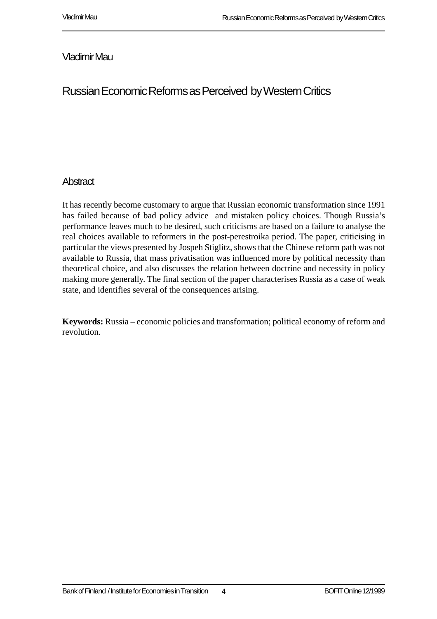#### Vladimir Mau

### Russian Economic Reforms as Perceived by Western Critics

#### **Abstract**

It has recently become customary to argue that Russian economic transformation since 1991 has failed because of bad policy advice and mistaken policy choices. Though Russia's performance leaves much to be desired, such criticisms are based on a failure to analyse the real choices available to reformers in the post-perestroika period. The paper, criticising in particular the views presented by Jospeh Stiglitz, shows that the Chinese reform path was not available to Russia, that mass privatisation was influenced more by political necessity than theoretical choice, and also discusses the relation between doctrine and necessity in policy making more generally. The final section of the paper characterises Russia as a case of weak state, and identifies several of the consequences arising.

**Keywords:** Russia – economic policies and transformation; political economy of reform and revolution.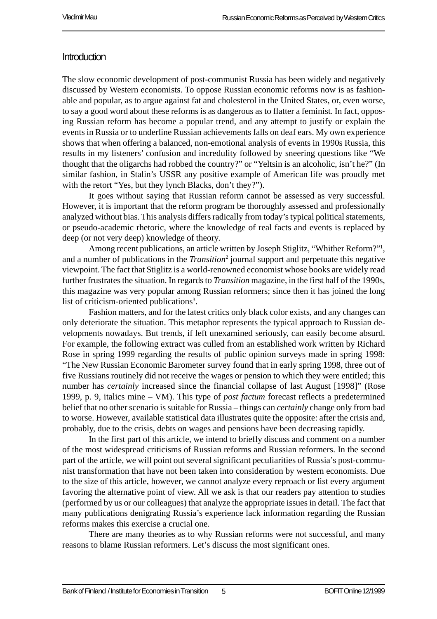#### **Introduction**

The slow economic development of post-communist Russia has been widely and negatively discussed by Western economists. To oppose Russian economic reforms now is as fashionable and popular, as to argue against fat and cholesterol in the United States, or, even worse, to say a good word about these reforms is as dangerous as to flatter a feminist. In fact, opposing Russian reform has become a popular trend, and any attempt to justify or explain the events in Russia or to underline Russian achievements falls on deaf ears. My own experience shows that when offering a balanced, non-emotional analysis of events in 1990s Russia, this results in my listeners' confusion and incredulity followed by sneering questions like "We thought that the oligarchs had robbed the country?" or "Yeltsin is an alcoholic, isn't he?" (In similar fashion, in Stalin's USSR any positive example of American life was proudly met with the retort "Yes, but they lynch Blacks, don't they?").

It goes without saying that Russian reform cannot be assessed as very successful. However, it is important that the reform program be thoroughly assessed and professionally analyzed without bias. This analysis differs radically from today's typical political statements, or pseudo-academic rhetoric, where the knowledge of real facts and events is replaced by deep (or not very deep) knowledge of theory.

Among recent publications, an article written by Joseph Stiglitz, "Whither Reform?"1 , and a number of publications in the *Transition*<sup>2</sup> journal support and perpetuate this negative viewpoint. The fact that Stiglitz is a world-renowned economist whose books are widely read further frustrates the situation. In regards to *Transition* magazine, in the first half of the 1990s, this magazine was very popular among Russian reformers; since then it has joined the long list of criticism-oriented publications<sup>3</sup>.

Fashion matters, and for the latest critics only black color exists, and any changes can only deteriorate the situation. This metaphor represents the typical approach to Russian developments nowadays. But trends, if left unexamined seriously, can easily become absurd. For example, the following extract was culled from an established work written by Richard Rose in spring 1999 regarding the results of public opinion surveys made in spring 1998: "The New Russian Economic Barometer survey found that in early spring 1998, three out of five Russians routinely did not receive the wages or pension to which they were entitled; this number has *certainly* increased since the financial collapse of last August [1998]" (Rose 1999, p. 9, italics mine – VM). This type of *post factum* forecast reflects a predetermined belief that no other scenario is suitable for Russia – things can *certainly* change only from bad to worse. However, available statistical data illustrates quite the opposite: after the crisis and, probably, due to the crisis, debts on wages and pensions have been decreasing rapidly.

In the first part of this article, we intend to briefly discuss and comment on a number of the most widespread criticisms of Russian reforms and Russian reformers. In the second part of the article, we will point out several significant peculiarities of Russia's post-communist transformation that have not been taken into consideration by western economists. Due to the size of this article, however, we cannot analyze every reproach or list every argument favoring the alternative point of view. All we ask is that our readers pay attention to studies (performed by us or our colleagues) that analyze the appropriate issues in detail. The fact that many publications denigrating Russia's experience lack information regarding the Russian reforms makes this exercise a crucial one.

There are many theories as to why Russian reforms were not successful, and many reasons to blame Russian reformers. Let's discuss the most significant ones.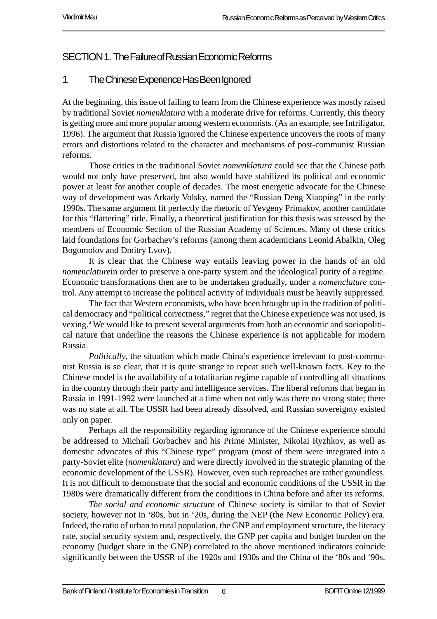#### SECTION 1. The Failure of Russian Economic Reforms

#### 1 The Chinese Experience Has Been Ignored

At the beginning, this issue of failing to learn from the Chinese experience was mostly raised by traditional Soviet *nomenklatura* with a moderate drive for reforms. Currently, this theory is getting more and more popular among western economists. (As an example, see Intriligator, 1996). The argument that Russia ignored the Chinese experience uncovers the roots of many errors and distortions related to the character and mechanisms of post-communist Russian reforms.

Those critics in the traditional Soviet *nomenklatura* could see that the Chinese path would not only have preserved, but also would have stabilized its political and economic power at least for another couple of decades. The most energetic advocate for the Chinese way of development was Arkady Volsky, named the "Russian Deng Xiaoping" in the early 1990s. The same argument fit perfectly the rhetoric of Yevgeny Primakov, another candidate for this "flattering" title. Finally, a theoretical justification for this thesis was stressed by the members of Economic Section of the Russian Academy of Sciences. Many of these critics laid foundations for Gorbachev's reforms (among them academicians Leonid Abalkin, Oleg Bogomolov and Dmitry Lvov).

It is clear that the Chinese way entails leaving power in the hands of an old *nomenclature* in order to preserve a one-party system and the ideological purity of a regime. Economic transformations then are to be undertaken gradually, under a *nomenclature* control. Any attempt to increase the political activity of individuals must be heavily suppressed.

The fact that Western economists, who have been brought up in the tradition of political democracy and "political correctness," regret that the Chinese experience was not used, is vexing.4 We would like to present several arguments from both an economic and sociopolitical nature that underline the reasons the Chinese experience is not applicable for modern Russia.

*Politically*, the situation which made China's experience irrelevant to post-communist Russia is so clear, that it is quite strange to repeat such well-known facts. Key to the Chinese model is the availability of a totalitarian regime capable of controlling all situations in the country through their party and intelligence services. The liberal reforms that began in Russia in 1991-1992 were launched at a time when not only was there no strong state; there was no state at all. The USSR had been already dissolved, and Russian sovereignty existed only on paper.

Perhaps all the responsibility regarding ignorance of the Chinese experience should be addressed to Michail Gorbachev and his Prime Minister, Nikolai Ryzhkov, as well as domestic advocates of this "Chinese type" program (most of them were integrated into a party-Soviet elite (*nomenklatura*) and were directly involved in the strategic planning of the economic development of the USSR). However, even such reproaches are rather groundless. It is not difficult to demonstrate that the social and economic conditions of the USSR in the 1980s were dramatically different from the conditions in China before and after its reforms.

*The social and economic structure* of Chinese society is similar to that of Soviet society, however not in '80s, but in '20s, during the NEP (the New Economic Policy) era. Indeed, the ratio of urban to rural population, the GNP and employment structure, the literacy rate, social security system and, respectively, the GNP per capita and budget burden on the economy (budget share in the GNP) correlated to the above mentioned indicators coincide significantly between the USSR of the 1920s and 1930s and the China of the '80s and '90s.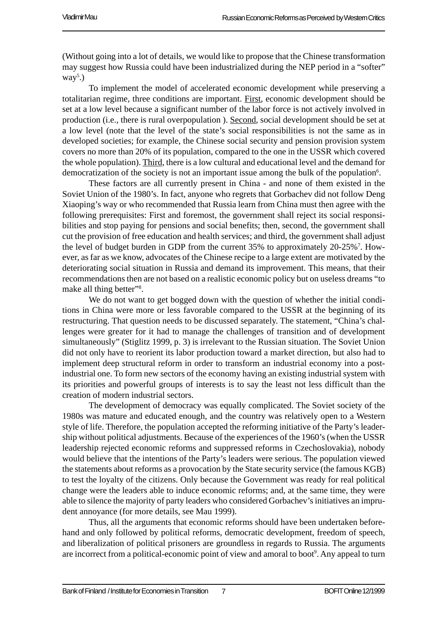(Without going into a lot of details, we would like to propose that the Chinese transformation may suggest how Russia could have been industrialized during the NEP period in a "softer"  $way<sup>5</sup>$ .)

To implement the model of accelerated economic development while preserving a totalitarian regime, three conditions are important. First, economic development should be set at a low level because a significant number of the labor force is not actively involved in production (i.e., there is rural overpopulation ). Second, social development should be set at a low level (note that the level of the state's social responsibilities is not the same as in developed societies; for example, the Chinese social security and pension provision system covers no more than 20% of its population, compared to the one in the USSR which covered the whole population). Third, there is a low cultural and educational level and the demand for democratization of the society is not an important issue among the bulk of the population<sup>6</sup>.

These factors are all currently present in China - and none of them existed in the Soviet Union of the 1980's. In fact, anyone who regrets that Gorbachev did not follow Deng Xiaoping's way or who recommended that Russia learn from China must then agree with the following prerequisites: First and foremost, the government shall reject its social responsibilities and stop paying for pensions and social benefits; then, second, the government shall cut the provision of free education and health services; and third, the government shall adjust the level of budget burden in GDP from the current 35% to approximately 20-25%<sup>7</sup>. However, as far as we know, advocates of the Chinese recipe to a large extent are motivated by the deteriorating social situation in Russia and demand its improvement. This means, that their recommendations then are not based on a realistic economic policy but on useless dreams "to make all thing better"<sup>8</sup>.

We do not want to get bogged down with the question of whether the initial conditions in China were more or less favorable compared to the USSR at the beginning of its restructuring. That question needs to be discussed separately. The statement, "China's challenges were greater for it had to manage the challenges of transition and of development simultaneously" (Stiglitz 1999, p. 3) is irrelevant to the Russian situation. The Soviet Union did not only have to reorient its labor production toward a market direction, but also had to implement deep structural reform in order to transform an industrial economy into a postindustrial one. To form new sectors of the economy having an existing industrial system with its priorities and powerful groups of interests is to say the least not less difficult than the creation of modern industrial sectors.

The development of democracy was equally complicated. The Soviet society of the 1980s was mature and educated enough, and the country was relatively open to a Western style of life. Therefore, the population accepted the reforming initiative of the Party's leadership without political adjustments. Because of the experiences of the 1960's (when the USSR leadership rejected economic reforms and suppressed reforms in Czechoslovakia), nobody would believe that the intentions of the Party's leaders were serious. The population viewed the statements about reforms as a provocation by the State security service (the famous KGB) to test the loyalty of the citizens. Only because the Government was ready for real political change were the leaders able to induce economic reforms; and, at the same time, they were able to silence the majority of party leaders who considered Gorbachev's initiatives an imprudent annoyance (for more details, see Mau 1999).

Thus, all the arguments that economic reforms should have been undertaken beforehand and only followed by political reforms, democratic development, freedom of speech, and liberalization of political prisoners are groundless in regards to Russia. The arguments are incorrect from a political-economic point of view and amoral to boot<sup>9</sup>. Any appeal to turn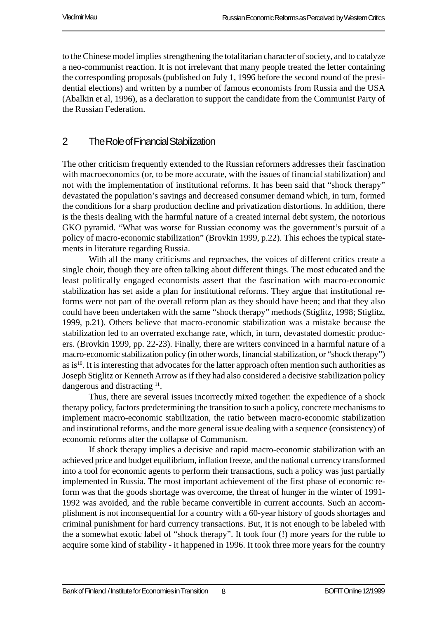to the Chinese model implies strengthening the totalitarian character of society, and to catalyze a neo-communist reaction. It is not irrelevant that many people treated the letter containing the corresponding proposals (published on July 1, 1996 before the second round of the presidential elections) and written by a number of famous economists from Russia and the USA (Abalkin et al, 1996), as a declaration to support the candidate from the Communist Party of the Russian Federation.

#### 2 The Role of Financial Stabilization

The other criticism frequently extended to the Russian reformers addresses their fascination with macroeconomics (or, to be more accurate, with the issues of financial stabilization) and not with the implementation of institutional reforms. It has been said that "shock therapy" devastated the population's savings and decreased consumer demand which, in turn, formed the conditions for a sharp production decline and privatization distortions. In addition, there is the thesis dealing with the harmful nature of a created internal debt system, the notorious GKO pyramid. "What was worse for Russian economy was the government's pursuit of a policy of macro-economic stabilization" (Brovkin 1999, p.22). This echoes the typical statements in literature regarding Russia.

With all the many criticisms and reproaches, the voices of different critics create a single choir, though they are often talking about different things. The most educated and the least politically engaged economists assert that the fascination with macro-economic stabilization has set aside a plan for institutional reforms. They argue that institutional reforms were not part of the overall reform plan as they should have been; and that they also could have been undertaken with the same "shock therapy" methods (Stiglitz, 1998; Stiglitz, 1999, p.21). Others believe that macro-economic stabilization was a mistake because the stabilization led to an overrated exchange rate, which, in turn, devastated domestic producers. (Brovkin 1999, pp. 22-23). Finally, there are writers convinced in a harmful nature of a macro-economic stabilization policy (in other words, financial stabilization, or "shock therapy") as is $^{10}$ . It is interesting that advocates for the latter approach often mention such authorities as Joseph Stiglitz or Kenneth Arrow as if they had also considered a decisive stabilization policy dangerous and distracting <sup>11</sup>.

Thus, there are several issues incorrectly mixed together: the expedience of a shock therapy policy, factors predetermining the transition to such a policy, concrete mechanisms to implement macro-economic stabilization, the ratio between macro-economic stabilization and institutional reforms, and the more general issue dealing with a sequence (consistency) of economic reforms after the collapse of Communism.

If shock therapy implies a decisive and rapid macro-economic stabilization with an achieved price and budget equilibrium, inflation freeze, and the national currency transformed into a tool for economic agents to perform their transactions, such a policy was just partially implemented in Russia. The most important achievement of the first phase of economic reform was that the goods shortage was overcome, the threat of hunger in the winter of 1991- 1992 was avoided, and the ruble became convertible in current accounts. Such an accomplishment is not inconsequential for a country with a 60-year history of goods shortages and criminal punishment for hard currency transactions. But, it is not enough to be labeled with the a somewhat exotic label of "shock therapy". It took four (!) more years for the ruble to acquire some kind of stability - it happened in 1996. It took three more years for the country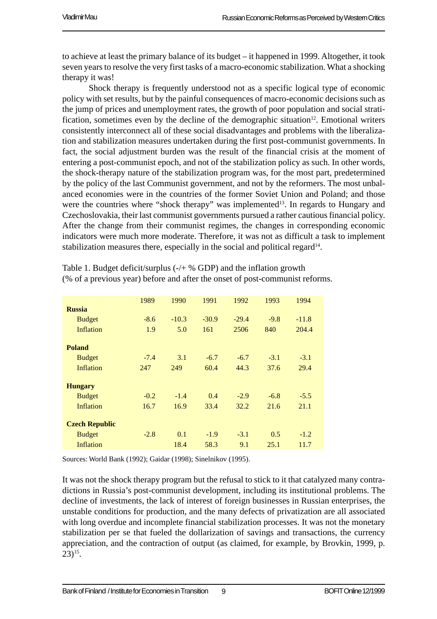to achieve at least the primary balance of its budget – it happened in 1999. Altogether, it took seven years to resolve the very first tasks of a macro-economic stabilization. What a shocking therapy it was!

Shock therapy is frequently understood not as a specific logical type of economic policy with set results, but by the painful consequences of macro-economic decisions such as the jump of prices and unemployment rates, the growth of poor population and social stratification, sometimes even by the decline of the demographic situation<sup>12</sup>. Emotional writers consistently interconnect all of these social disadvantages and problems with the liberalization and stabilization measures undertaken during the first post-communist governments. In fact, the social adjustment burden was the result of the financial crisis at the moment of entering a post-communist epoch, and not of the stabilization policy as such. In other words, the shock-therapy nature of the stabilization program was, for the most part, predetermined by the policy of the last Communist government, and not by the reformers. The most unbalanced economies were in the countries of the former Soviet Union and Poland; and those were the countries where "shock therapy" was implemented<sup>13</sup>. In regards to Hungary and Czechoslovakia, their last communist governments pursued a rather cautious financial policy. After the change from their communist regimes, the changes in corresponding economic indicators were much more moderate. Therefore, it was not as difficult a task to implement stabilization measures there, especially in the social and political regard<sup>14</sup>.

|                       | 1989   | 1990    | 1991    | 1992    | 1993   | 1994    |
|-----------------------|--------|---------|---------|---------|--------|---------|
| <b>Russia</b>         |        |         |         |         |        |         |
| <b>Budget</b>         | $-8.6$ | $-10.3$ | $-30.9$ | $-29.4$ | $-9.8$ | $-11.8$ |
| <b>Inflation</b>      | 1.9    | 5.0     | 161     | 2506    | 840    | 204.4   |
|                       |        |         |         |         |        |         |
| <b>Poland</b>         |        |         |         |         |        |         |
| <b>Budget</b>         | $-7.4$ | 3.1     | $-6.7$  | $-6.7$  | $-3.1$ | $-3.1$  |
| <b>Inflation</b>      | 247    | 249     | 60.4    | 44.3    | 37.6   | 29.4    |
|                       |        |         |         |         |        |         |
| <b>Hungary</b>        |        |         |         |         |        |         |
| <b>Budget</b>         | $-0.2$ | $-1.4$  | 0.4     | $-2.9$  | $-6.8$ | $-5.5$  |
| Inflation             | 16.7   | 16.9    | 33.4    | 32.2    | 21.6   | 21.1    |
|                       |        |         |         |         |        |         |
| <b>Czech Republic</b> |        |         |         |         |        |         |
| <b>Budget</b>         | $-2.8$ | 0.1     | $-1.9$  | $-3.1$  | 0.5    | $-1.2$  |
| Inflation             |        | 18.4    | 58.3    | 9.1     | 25.1   | 11.7    |

Table 1. Budget deficit/surplus (-/+ % GDP) and the inflation growth (% of a previous year) before and after the onset of post-communist reforms.

Sources: World Bank (1992); Gaidar (1998); Sinelnikov (1995).

It was not the shock therapy program but the refusal to stick to it that catalyzed many contradictions in Russia's post-communist development, including its institutional problems. The decline of investments, the lack of interest of foreign businesses in Russian enterprises, the unstable conditions for production, and the many defects of privatization are all associated with long overdue and incomplete financial stabilization processes. It was not the monetary stabilization per se that fueled the dollarization of savings and transactions, the currency appreciation, and the contraction of output (as claimed, for example, by Brovkin, 1999, p.  $23)$ <sup>15</sup>.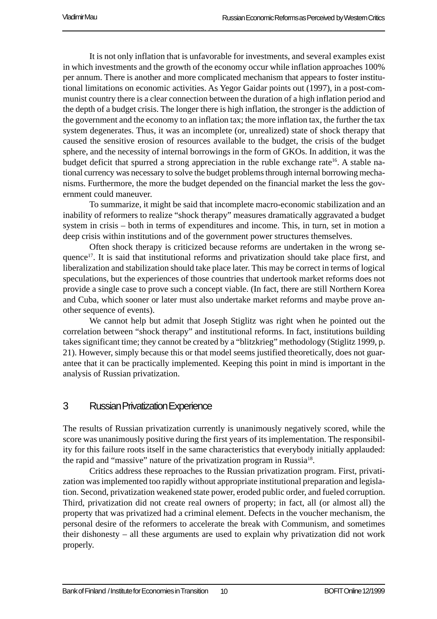It is not only inflation that is unfavorable for investments, and several examples exist in which investments and the growth of the economy occur while inflation approaches 100% per annum. There is another and more complicated mechanism that appears to foster institutional limitations on economic activities. As Yegor Gaidar points out (1997), in a post-communist country there is a clear connection between the duration of a high inflation period and the depth of a budget crisis. The longer there is high inflation, the stronger is the addiction of the government and the economy to an inflation tax; the more inflation tax, the further the tax system degenerates. Thus, it was an incomplete (or, unrealized) state of shock therapy that caused the sensitive erosion of resources available to the budget, the crisis of the budget sphere, and the necessity of internal borrowings in the form of GKOs. In addition, it was the budget deficit that spurred a strong appreciation in the ruble exchange rate<sup>16</sup>. A stable national currency was necessary to solve the budget problems through internal borrowing mechanisms. Furthermore, the more the budget depended on the financial market the less the government could maneuver.

To summarize, it might be said that incomplete macro-economic stabilization and an inability of reformers to realize "shock therapy" measures dramatically aggravated a budget system in crisis – both in terms of expenditures and income. This, in turn, set in motion a deep crisis within institutions and of the government power structures themselves.

Often shock therapy is criticized because reforms are undertaken in the wrong sequence<sup>17</sup>. It is said that institutional reforms and privatization should take place first, and liberalization and stabilization should take place later. This may be correct in terms of logical speculations, but the experiences of those countries that undertook market reforms does not provide a single case to prove such a concept viable. (In fact, there are still Northern Korea and Cuba, which sooner or later must also undertake market reforms and maybe prove another sequence of events).

We cannot help but admit that Joseph Stiglitz was right when he pointed out the correlation between "shock therapy" and institutional reforms. In fact, institutions building takes significant time; they cannot be created by a "blitzkrieg" methodology (Stiglitz 1999, p. 21). However, simply because this or that model seems justified theoretically, does not guarantee that it can be practically implemented. Keeping this point in mind is important in the analysis of Russian privatization.

#### 3 Russian Privatization Experience

The results of Russian privatization currently is unanimously negatively scored, while the score was unanimously positive during the first years of its implementation. The responsibility for this failure roots itself in the same characteristics that everybody initially applauded: the rapid and "massive" nature of the privatization program in Russia<sup>18</sup>.

Critics address these reproaches to the Russian privatization program. First, privatization was implemented too rapidly without appropriate institutional preparation and legislation. Second, privatization weakened state power, eroded public order, and fueled corruption. Third, privatization did not create real owners of property; in fact, all (or almost all) the property that was privatized had a criminal element. Defects in the voucher mechanism, the personal desire of the reformers to accelerate the break with Communism, and sometimes their dishonesty – all these arguments are used to explain why privatization did not work properly.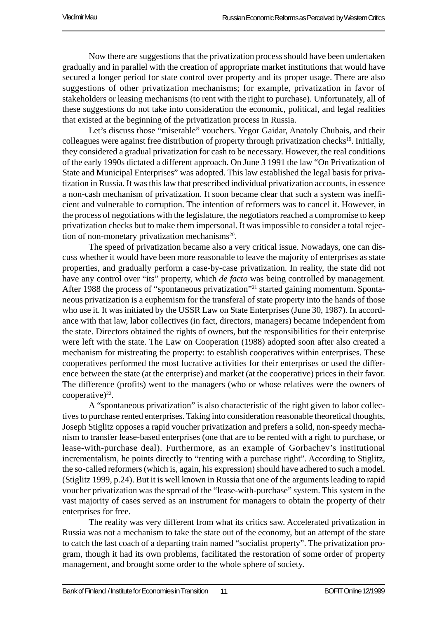Now there are suggestions that the privatization process should have been undertaken gradually and in parallel with the creation of appropriate market institutions that would have secured a longer period for state control over property and its proper usage. There are also suggestions of other privatization mechanisms; for example, privatization in favor of stakeholders or leasing mechanisms (to rent with the right to purchase). Unfortunately, all of these suggestions do not take into consideration the economic, political, and legal realities that existed at the beginning of the privatization process in Russia.

Let's discuss those "miserable" vouchers. Yegor Gaidar, Anatoly Chubais, and their colleagues were against free distribution of property through privatization checks<sup>19</sup>. Initially, they considered a gradual privatization for cash to be necessary. However, the real conditions of the early 1990s dictated a different approach. On June 3 1991 the law "On Privatization of State and Municipal Enterprises" was adopted. This law established the legal basis for privatization in Russia. It was this law that prescribed individual privatization accounts, in essence a non-cash mechanism of privatization. It soon became clear that such a system was inefficient and vulnerable to corruption. The intention of reformers was to cancel it. However, in the process of negotiations with the legislature, the negotiators reached a compromise to keep privatization checks but to make them impersonal. It was impossible to consider a total rejection of non-monetary privatization mechanisms $^{20}$ .

The speed of privatization became also a very critical issue. Nowadays, one can discuss whether it would have been more reasonable to leave the majority of enterprises as state properties, and gradually perform a case-by-case privatization. In reality, the state did not have any control over "its" property, which *de facto* was being controlled by management. After 1988 the process of "spontaneous privatization"<sup>21</sup> started gaining momentum. Spontaneous privatization is a euphemism for the transferal of state property into the hands of those who use it. It was initiated by the USSR Law on State Enterprises (June 30, 1987). In accordance with that law, labor collectives (in fact, directors, managers) became independent from the state. Directors obtained the rights of owners, but the responsibilities for their enterprise were left with the state. The Law on Cooperation (1988) adopted soon after also created a mechanism for mistreating the property: to establish cooperatives within enterprises. These cooperatives performed the most lucrative activities for their enterprises or used the difference between the state (at the enterprise) and market (at the cooperative) prices in their favor. The difference (profits) went to the managers (who or whose relatives were the owners of cooperative) $22$ .

A "spontaneous privatization" is also characteristic of the right given to labor collectives to purchase rented enterprises. Taking into consideration reasonable theoretical thoughts, Joseph Stiglitz opposes a rapid voucher privatization and prefers a solid, non-speedy mechanism to transfer lease-based enterprises (one that are to be rented with a right to purchase, or lease-with-purchase deal). Furthermore, as an example of Gorbachev's institutional incrementalism, he points directly to "renting with a purchase right". According to Stiglitz, the so-called reformers (which is, again, his expression) should have adhered to such a model. (Stiglitz 1999, p.24). But it is well known in Russia that one of the arguments leading to rapid voucher privatization was the spread of the "lease-with-purchase" system. This system in the vast majority of cases served as an instrument for managers to obtain the property of their enterprises for free.

The reality was very different from what its critics saw. Accelerated privatization in Russia was not a mechanism to take the state out of the economy, but an attempt of the state to catch the last coach of a departing train named "socialist property". The privatization program, though it had its own problems, facilitated the restoration of some order of property management, and brought some order to the whole sphere of society.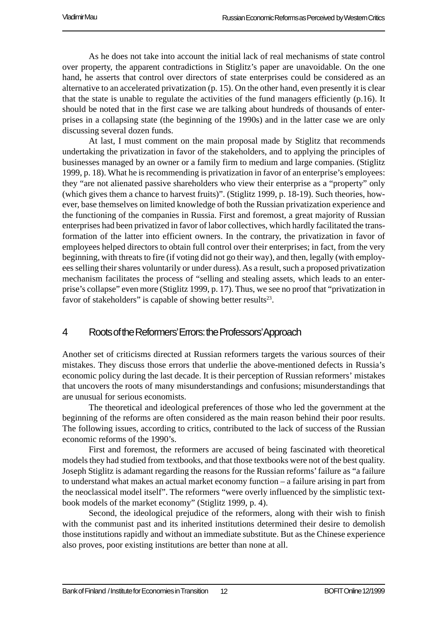As he does not take into account the initial lack of real mechanisms of state control over property, the apparent contradictions in Stiglitz's paper are unavoidable. On the one hand, he asserts that control over directors of state enterprises could be considered as an alternative to an accelerated privatization (p. 15). On the other hand, even presently it is clear that the state is unable to regulate the activities of the fund managers efficiently (p.16). It should be noted that in the first case we are talking about hundreds of thousands of enterprises in a collapsing state (the beginning of the 1990s) and in the latter case we are only discussing several dozen funds.

At last, I must comment on the main proposal made by Stiglitz that recommends undertaking the privatization in favor of the stakeholders, and to applying the principles of businesses managed by an owner or a family firm to medium and large companies. (Stiglitz 1999, p. 18). What he is recommending is privatization in favor of an enterprise's employees: they "are not alienated passive shareholders who view their enterprise as a "property" only (which gives them a chance to harvest fruits)". (Stiglitz 1999, p. 18-19). Such theories, however, base themselves on limited knowledge of both the Russian privatization experience and the functioning of the companies in Russia. First and foremost, a great majority of Russian enterprises had been privatized in favor of labor collectives, which hardly facilitated the transformation of the latter into efficient owners. In the contrary, the privatization in favor of employees helped directors to obtain full control over their enterprises; in fact, from the very beginning, with threats to fire (if voting did not go their way), and then, legally (with employees selling their shares voluntarily or under duress). As a result, such a proposed privatization mechanism facilitates the process of "selling and stealing assets, which leads to an enterprise's collapse" even more (Stiglitz 1999, p. 17). Thus, we see no proof that "privatization in favor of stakeholders" is capable of showing better results $23$ .

#### 4 Roots of the Reformers' Errors: the Professors' Approach

Another set of criticisms directed at Russian reformers targets the various sources of their mistakes. They discuss those errors that underlie the above-mentioned defects in Russia's economic policy during the last decade. It is their perception of Russian reformers' mistakes that uncovers the roots of many misunderstandings and confusions; misunderstandings that are unusual for serious economists.

The theoretical and ideological preferences of those who led the government at the beginning of the reforms are often considered as the main reason behind their poor results. The following issues, according to critics, contributed to the lack of success of the Russian economic reforms of the 1990's.

First and foremost, the reformers are accused of being fascinated with theoretical models they had studied from textbooks, and that those textbooks were not of the best quality. Joseph Stiglitz is adamant regarding the reasons for the Russian reforms' failure as "a failure to understand what makes an actual market economy function – a failure arising in part from the neoclassical model itself". The reformers "were overly influenced by the simplistic textbook models of the market economy" (Stiglitz 1999, p. 4).

Second, the ideological prejudice of the reformers, along with their wish to finish with the communist past and its inherited institutions determined their desire to demolish those institutions rapidly and without an immediate substitute. But as the Chinese experience also proves, poor existing institutions are better than none at all.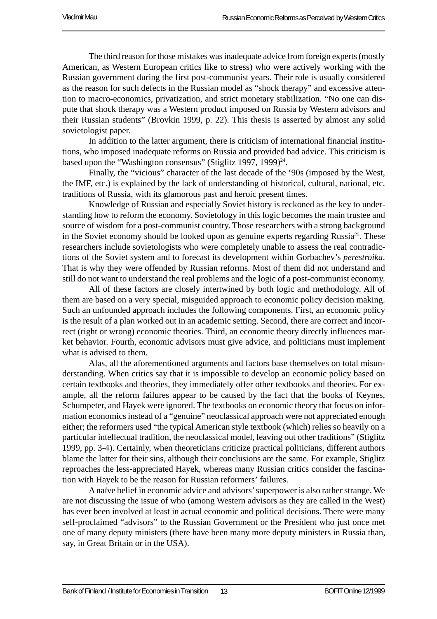The third reason for those mistakes was inadequate advice from foreign experts (mostly American, as Western European critics like to stress) who were actively working with the Russian government during the first post-communist years. Their role is usually considered as the reason for such defects in the Russian model as "shock therapy" and excessive attention to macro-economics, privatization, and strict monetary stabilization. "No one can dispute that shock therapy was a Western product imposed on Russia by Western advisors and their Russian students" (Brovkin 1999, p. 22). This thesis is asserted by almost any solid sovietologist paper.

In addition to the latter argument, there is criticism of international financial institutions, who imposed inadequate reforms on Russia and provided bad advice. This criticism is based upon the "Washington consensus" (Stiglitz 1997, 1999) $^{24}$ .

Finally, the "vicious" character of the last decade of the '90s (imposed by the West, the IMF, etc.) is explained by the lack of understanding of historical, cultural, national, etc. traditions of Russia, with its glamorous past and heroic present times.

Knowledge of Russian and especially Soviet history is reckoned as the key to understanding how to reform the economy. Sovietology in this logic becomes the main trustee and source of wisdom for a post-communist country. Those researchers with a strong background in the Soviet economy should be looked upon as genuine experts regarding Russia<sup>25</sup>. These researchers include sovietologists who were completely unable to assess the real contradictions of the Soviet system and to forecast its development within Gorbachev's *perestroika*. That is why they were offended by Russian reforms. Most of them did not understand and still do not want to understand the real problems and the logic of a post-communist economy.

All of these factors are closely intertwined by both logic and methodology. All of them are based on a very special, misguided approach to economic policy decision making. Such an unfounded approach includes the following components. First, an economic policy is the result of a plan worked out in an academic setting. Second, there are correct and incorrect (right or wrong) economic theories. Third, an economic theory directly influences market behavior. Fourth, economic advisors must give advice, and politicians must implement what is advised to them.

Alas, all the aforementioned arguments and factors base themselves on total misunderstanding. When critics say that it is impossible to develop an economic policy based on certain textbooks and theories, they immediately offer other textbooks and theories. For example, all the reform failures appear to be caused by the fact that the books of Keynes, Schumpeter, and Hayek were ignored. The textbooks on economic theory that focus on information economics instead of a "genuine" neoclassical approach were not appreciated enough either; the reformers used "the typical American style textbook (which) relies so heavily on a particular intellectual tradition, the neoclassical model, leaving out other traditions" (Stiglitz 1999, pp. 3-4). Certainly, when theoreticians criticize practical politicians, different authors blame the latter for their sins, although their conclusions are the same. For example, Stiglitz reproaches the less-appreciated Hayek, whereas many Russian critics consider the fascination with Hayek to be the reason for Russian reformers' failures.

A naïve belief in economic advice and advisors' superpower is also rather strange. We are not discussing the issue of who (among Western advisors as they are called in the West) has ever been involved at least in actual economic and political decisions. There were many self-proclaimed "advisors" to the Russian Government or the President who just once met one of many deputy ministers (there have been many more deputy ministers in Russia than, say, in Great Britain or in the USA).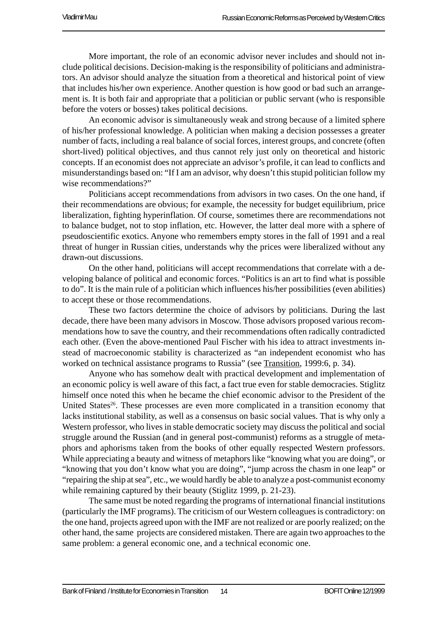More important, the role of an economic advisor never includes and should not include political decisions. Decision-making is the responsibility of politicians and administrators. An advisor should analyze the situation from a theoretical and historical point of view that includes his/her own experience. Another question is how good or bad such an arrangement is. It is both fair and appropriate that a politician or public servant (who is responsible before the voters or bosses) takes political decisions.

An economic advisor is simultaneously weak and strong because of a limited sphere of his/her professional knowledge. A politician when making a decision possesses a greater number of facts, including a real balance of social forces, interest groups, and concrete (often short-lived) political objectives, and thus cannot rely just only on theoretical and historic concepts. If an economist does not appreciate an advisor's profile, it can lead to conflicts and misunderstandings based on: "If I am an advisor, why doesn't this stupid politician follow my wise recommendations?"

Politicians accept recommendations from advisors in two cases. On the one hand, if their recommendations are obvious; for example, the necessity for budget equilibrium, price liberalization, fighting hyperinflation. Of course, sometimes there are recommendations not to balance budget, not to stop inflation, etc. However, the latter deal more with a sphere of pseudoscientific exotics. Anyone who remembers empty stores in the fall of 1991 and a real threat of hunger in Russian cities, understands why the prices were liberalized without any drawn-out discussions.

On the other hand, politicians will accept recommendations that correlate with a developing balance of political and economic forces. "Politics is an art to find what is possible to do". It is the main rule of a politician which influences his/her possibilities (even abilities) to accept these or those recommendations.

These two factors determine the choice of advisors by politicians. During the last decade, there have been many advisors in Moscow. Those advisors proposed various recommendations how to save the country, and their recommendations often radically contradicted each other. (Even the above-mentioned Paul Fischer with his idea to attract investments instead of macroeconomic stability is characterized as "an independent economist who has worked on technical assistance programs to Russia" (see Transition, 1999:6, p. 34).

Anyone who has somehow dealt with practical development and implementation of an economic policy is well aware of this fact, a fact true even for stable democracies. Stiglitz himself once noted this when he became the chief economic advisor to the President of the United States<sup>26</sup>. These processes are even more complicated in a transition economy that lacks institutional stability, as well as a consensus on basic social values. That is why only a Western professor, who lives in stable democratic society may discuss the political and social struggle around the Russian (and in general post-communist) reforms as a struggle of metaphors and aphorisms taken from the books of other equally respected Western professors. While appreciating a beauty and witness of metaphors like "knowing what you are doing", or "knowing that you don't know what you are doing", "jump across the chasm in one leap" or "repairing the ship at sea", etc., we would hardly be able to analyze a post-communist economy while remaining captured by their beauty (Stiglitz 1999, p. 21-23).

The same must be noted regarding the programs of international financial institutions (particularly the IMF programs). The criticism of our Western colleagues is contradictory: on the one hand, projects agreed upon with the IMF are not realized or are poorly realized; on the other hand, the same projects are considered mistaken. There are again two approaches to the same problem: a general economic one, and a technical economic one.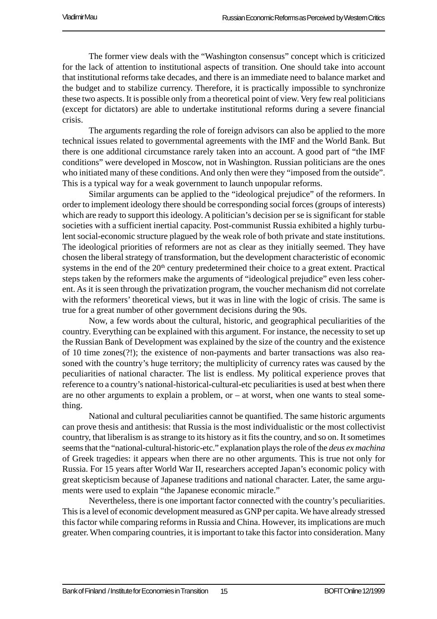The former view deals with the "Washington consensus" concept which is criticized for the lack of attention to institutional aspects of transition. One should take into account that institutional reforms take decades, and there is an immediate need to balance market and the budget and to stabilize currency. Therefore, it is practically impossible to synchronize these two aspects. It is possible only from a theoretical point of view. Very few real politicians (except for dictators) are able to undertake institutional reforms during a severe financial crisis.

The arguments regarding the role of foreign advisors can also be applied to the more technical issues related to governmental agreements with the IMF and the World Bank. But there is one additional circumstance rarely taken into an account. A good part of "the IMF conditions" were developed in Moscow, not in Washington. Russian politicians are the ones who initiated many of these conditions. And only then were they "imposed from the outside". This is a typical way for a weak government to launch unpopular reforms.

Similar arguments can be applied to the "ideological prejudice" of the reformers. In order to implement ideology there should be corresponding social forces (groups of interests) which are ready to support this ideology. A politician's decision per se is significant for stable societies with a sufficient inertial capacity. Post-communist Russia exhibited a highly turbulent social-economic structure plagued by the weak role of both private and state institutions. The ideological priorities of reformers are not as clear as they initially seemed. They have chosen the liberal strategy of transformation, but the development characteristic of economic systems in the end of the  $20<sup>th</sup>$  century predetermined their choice to a great extent. Practical steps taken by the reformers make the arguments of "ideological prejudice" even less coherent. As it is seen through the privatization program, the voucher mechanism did not correlate with the reformers' theoretical views, but it was in line with the logic of crisis. The same is true for a great number of other government decisions during the 90s.

Now, a few words about the cultural, historic, and geographical peculiarities of the country. Everything can be explained with this argument. For instance, the necessity to set up the Russian Bank of Development was explained by the size of the country and the existence of 10 time zones(?!); the existence of non-payments and barter transactions was also reasoned with the country's huge territory; the multiplicity of currency rates was caused by the peculiarities of national character. The list is endless. My political experience proves that reference to a country's national-historical-cultural-etc peculiarities is used at best when there are no other arguments to explain a problem, or  $-$  at worst, when one wants to steal something.

National and cultural peculiarities cannot be quantified. The same historic arguments can prove thesis and antithesis: that Russia is the most individualistic or the most collectivist country, that liberalism is as strange to its history as it fits the country, and so on. It sometimes seems that the "national-cultural-historic-etc." explanation plays the role of the *deus ex machina* of Greek tragedies: it appears when there are no other arguments. This is true not only for Russia. For 15 years after World War II, researchers accepted Japan's economic policy with great skepticism because of Japanese traditions and national character. Later, the same arguments were used to explain "the Japanese economic miracle."

Nevertheless, there is one important factor connected with the country's peculiarities. This is a level of economic development measured as GNP per capita. We have already stressed this factor while comparing reforms in Russia and China. However, its implications are much greater. When comparing countries, it is important to take this factor into consideration. Many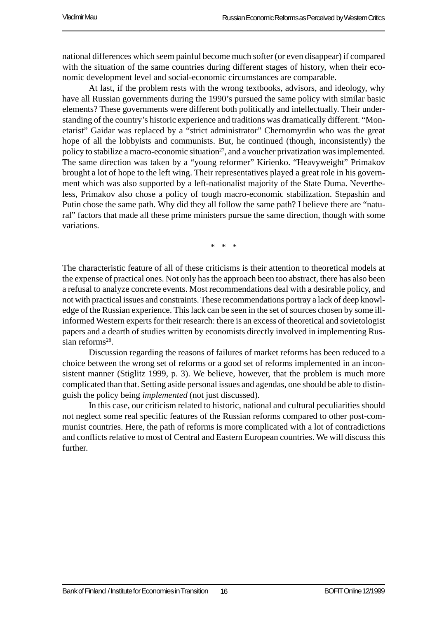national differences which seem painful become much softer (or even disappear) if compared with the situation of the same countries during different stages of history, when their economic development level and social-economic circumstances are comparable.

At last, if the problem rests with the wrong textbooks, advisors, and ideology, why have all Russian governments during the 1990's pursued the same policy with similar basic elements? These governments were different both politically and intellectually. Their understanding of the country's historic experience and traditions was dramatically different. "Monetarist" Gaidar was replaced by a "strict administrator" Chernomyrdin who was the great hope of all the lobbyists and communists. But, he continued (though, inconsistently) the policy to stabilize a macro-economic situation<sup>27</sup>, and a voucher privatization was implemented. The same direction was taken by a "young reformer" Kirienko. "Heavyweight" Primakov brought a lot of hope to the left wing. Their representatives played a great role in his government which was also supported by a left-nationalist majority of the State Duma. Nevertheless, Primakov also chose a policy of tough macro-economic stabilization. Stepashin and Putin chose the same path. Why did they all follow the same path? I believe there are "natural" factors that made all these prime ministers pursue the same direction, though with some variations.

\* \* \*

The characteristic feature of all of these criticisms is their attention to theoretical models at the expense of practical ones. Not only has the approach been too abstract, there has also been a refusal to analyze concrete events. Most recommendations deal with a desirable policy, and not with practical issues and constraints. These recommendations portray a lack of deep knowledge of the Russian experience. This lack can be seen in the set of sources chosen by some illinformed Western experts for their research: there is an excess of theoretical and sovietologist papers and a dearth of studies written by economists directly involved in implementing Russian reforms<sup>28</sup>.

Discussion regarding the reasons of failures of market reforms has been reduced to a choice between the wrong set of reforms or a good set of reforms implemented in an inconsistent manner (Stiglitz 1999, p. 3). We believe, however, that the problem is much more complicated than that. Setting aside personal issues and agendas, one should be able to distinguish the policy being *implemented* (not just discussed).

In this case, our criticism related to historic, national and cultural peculiarities should not neglect some real specific features of the Russian reforms compared to other post-communist countries. Here, the path of reforms is more complicated with a lot of contradictions and conflicts relative to most of Central and Eastern European countries. We will discuss this further.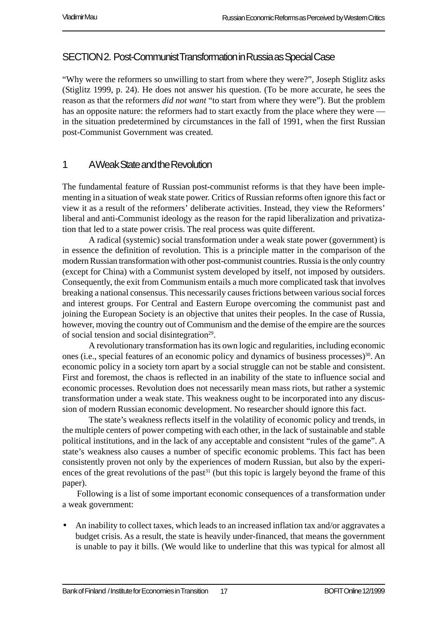#### SECTION 2. Post-Communist Transformation in Russia as Special Case

"Why were the reformers so unwilling to start from where they were?", Joseph Stiglitz asks (Stiglitz 1999, p. 24). He does not answer his question. (To be more accurate, he sees the reason as that the reformers *did not want* "to start from where they were"). But the problem has an opposite nature: the reformers had to start exactly from the place where they were in the situation predetermined by circumstances in the fall of 1991, when the first Russian post-Communist Government was created.

#### 1 A Weak State and the Revolution

The fundamental feature of Russian post-communist reforms is that they have been implementing in a situation of weak state power. Critics of Russian reforms often ignore this fact or view it as a result of the reformers' deliberate activities. Instead, they view the Reformers' liberal and anti-Communist ideology as the reason for the rapid liberalization and privatization that led to a state power crisis. The real process was quite different.

A radical (systemic) social transformation under a weak state power (government) is in essence the definition of revolution. This is a principle matter in the comparison of the modern Russian transformation with other post-communist countries. Russia is the only country (except for China) with a Communist system developed by itself, not imposed by outsiders. Consequently, the exit from Communism entails a much more complicated task that involves breaking a national consensus. This necessarily causes frictions between various social forces and interest groups. For Central and Eastern Europe overcoming the communist past and joining the European Society is an objective that unites their peoples. In the case of Russia, however, moving the country out of Communism and the demise of the empire are the sources of social tension and social disintegration<sup>29</sup>.

A revolutionary transformation has its own logic and regularities, including economic ones (i.e., special features of an economic policy and dynamics of business processes)<sup>30</sup>. An economic policy in a society torn apart by a social struggle can not be stable and consistent. First and foremost, the chaos is reflected in an inability of the state to influence social and economic processes. Revolution does not necessarily mean mass riots, but rather a systemic transformation under a weak state. This weakness ought to be incorporated into any discussion of modern Russian economic development. No researcher should ignore this fact.

The state's weakness reflects itself in the volatility of economic policy and trends, in the multiple centers of power competing with each other, in the lack of sustainable and stable political institutions, and in the lack of any acceptable and consistent "rules of the game". A state's weakness also causes a number of specific economic problems. This fact has been consistently proven not only by the experiences of modern Russian, but also by the experiences of the great revolutions of the past<sup>31</sup> (but this topic is largely beyond the frame of this paper).

Following is a list of some important economic consequences of a transformation under a weak government:

• An inability to collect taxes, which leads to an increased inflation tax and/or aggravates a budget crisis. As a result, the state is heavily under-financed, that means the government is unable to pay it bills. (We would like to underline that this was typical for almost all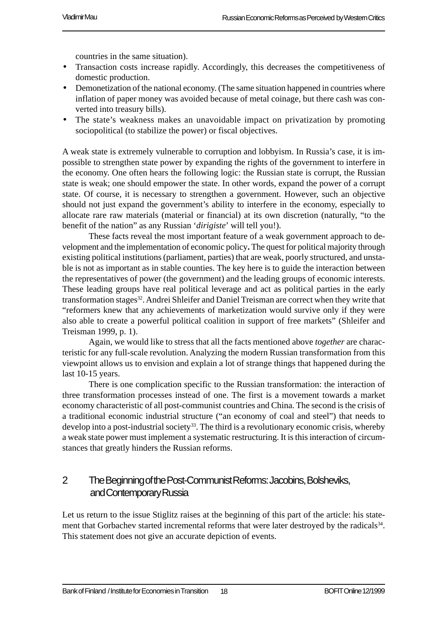countries in the same situation).

- Transaction costs increase rapidly. Accordingly, this decreases the competitiveness of domestic production.
- Demonetization of the national economy. (The same situation happened in countries where inflation of paper money was avoided because of metal coinage, but there cash was converted into treasury bills).
- The state's weakness makes an unavoidable impact on privatization by promoting sociopolitical (to stabilize the power) or fiscal objectives.

A weak state is extremely vulnerable to corruption and lobbyism. In Russia's case, it is impossible to strengthen state power by expanding the rights of the government to interfere in the economy. One often hears the following logic: the Russian state is corrupt, the Russian state is weak; one should empower the state. In other words, expand the power of a corrupt state. Of course, it is necessary to strengthen a government. However, such an objective should not just expand the government's ability to interfere in the economy, especially to allocate rare raw materials (material or financial) at its own discretion (naturally, "to the benefit of the nation" as any Russian '*dirigiste*' will tell you!).

These facts reveal the most important feature of a weak government approach to development and the implementation of economic policy**.** The quest for political majority through existing political institutions (parliament, parties) that are weak, poorly structured, and unstable is not as important as in stable counties. The key here is to guide the interaction between the representatives of power (the government) and the leading groups of economic interests. These leading groups have real political leverage and act as political parties in the early transformation stages<sup>32</sup>. Andrei Shleifer and Daniel Treisman are correct when they write that "reformers knew that any achievements of marketization would survive only if they were also able to create a powerful political coalition in support of free markets" (Shleifer and Treisman 1999, p. 1).

Again, we would like to stress that all the facts mentioned above *together* are characteristic for any full-scale revolution. Analyzing the modern Russian transformation from this viewpoint allows us to envision and explain a lot of strange things that happened during the last 10-15 years.

There is one complication specific to the Russian transformation: the interaction of three transformation processes instead of one. The first is a movement towards a market economy characteristic of all post-communist countries and China. The second is the crisis of a traditional economic industrial structure ("an economy of coal and steel") that needs to develop into a post-industrial society<sup>33</sup>. The third is a revolutionary economic crisis, whereby a weak state power must implement a systematic restructuring. It is this interaction of circumstances that greatly hinders the Russian reforms.

#### 2 The Beginning of the Post-Communist Reforms: Jacobins, Bolsheviks, and Contemporary Russia

Let us return to the issue Stiglitz raises at the beginning of this part of the article: his statement that Gorbachev started incremental reforms that were later destroyed by the radicals<sup>34</sup>. This statement does not give an accurate depiction of events.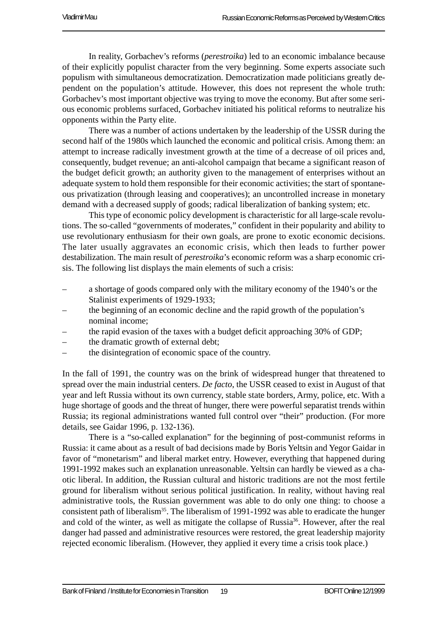In reality, Gorbachev's reforms (*perestroika*) led to an economic imbalance because of their explicitly populist character from the very beginning. Some experts associate such populism with simultaneous democratization. Democratization made politicians greatly dependent on the population's attitude. However, this does not represent the whole truth: Gorbachev's most important objective was trying to move the economy. But after some serious economic problems surfaced, Gorbachev initiated his political reforms to neutralize his opponents within the Party elite.

There was a number of actions undertaken by the leadership of the USSR during the second half of the 1980s which launched the economic and political crisis. Among them: an attempt to increase radically investment growth at the time of a decrease of oil prices and, consequently, budget revenue; an anti-alcohol campaign that became a significant reason of the budget deficit growth; an authority given to the management of enterprises without an adequate system to hold them responsible for their economic activities; the start of spontaneous privatization (through leasing and cooperatives); an uncontrolled increase in monetary demand with a decreased supply of goods; radical liberalization of banking system; etc.

This type of economic policy development is characteristic for all large-scale revolutions. The so-called "governments of moderates," confident in their popularity and ability to use revolutionary enthusiasm for their own goals, are prone to exotic economic decisions. The later usually aggravates an economic crisis, which then leads to further power destabilization. The main result of *perestroika*'s economic reform was a sharp economic crisis. The following list displays the main elements of such a crisis:

- a shortage of goods compared only with the military economy of the 1940's or the Stalinist experiments of 1929-1933;
- the beginning of an economic decline and the rapid growth of the population's nominal income;
- the rapid evasion of the taxes with a budget deficit approaching 30% of GDP;
- the dramatic growth of external debt;
- the disintegration of economic space of the country.

In the fall of 1991, the country was on the brink of widespread hunger that threatened to spread over the main industrial centers. *De facto*, the USSR ceased to exist in August of that year and left Russia without its own currency, stable state borders, Army, police, etc. With a huge shortage of goods and the threat of hunger, there were powerful separatist trends within Russia; its regional administrations wanted full control over "their" production. (For more details, see Gaidar 1996, p. 132-136).

There is a "so-called explanation" for the beginning of post-communist reforms in Russia: it came about as a result of bad decisions made by Boris Yeltsin and Yegor Gaidar in favor of "monetarism" and liberal market entry. However, everything that happened during 1991-1992 makes such an explanation unreasonable. Yeltsin can hardly be viewed as a chaotic liberal. In addition, the Russian cultural and historic traditions are not the most fertile ground for liberalism without serious political justification. In reality, without having real administrative tools, the Russian government was able to do only one thing: to choose a consistent path of liberalism<sup>35</sup>. The liberalism of 1991-1992 was able to eradicate the hunger and cold of the winter, as well as mitigate the collapse of Russia<sup>36</sup>. However, after the real danger had passed and administrative resources were restored, the great leadership majority rejected economic liberalism. (However, they applied it every time a crisis took place.)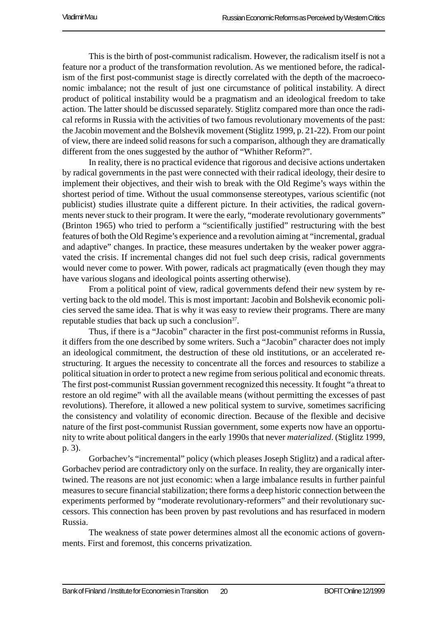This is the birth of post-communist radicalism. However, the radicalism itself is not a feature nor a product of the transformation revolution. As we mentioned before, the radicalism of the first post-communist stage is directly correlated with the depth of the macroeconomic imbalance; not the result of just one circumstance of political instability. A direct product of political instability would be a pragmatism and an ideological freedom to take action. The latter should be discussed separately. Stiglitz compared more than once the radical reforms in Russia with the activities of two famous revolutionary movements of the past: the Jacobin movement and the Bolshevik movement (Stiglitz 1999, p. 21-22). From our point of view, there are indeed solid reasons for such a comparison, although they are dramatically different from the ones suggested by the author of "Whither Reform?".

In reality, there is no practical evidence that rigorous and decisive actions undertaken by radical governments in the past were connected with their radical ideology, their desire to implement their objectives, and their wish to break with the Old Regime's ways within the shortest period of time. Without the usual commonsense stereotypes, various scientific (not publicist) studies illustrate quite a different picture. In their activities, the radical governments never stuck to their program. It were the early, "moderate revolutionary governments" (Brinton 1965) who tried to perform a "scientifically justified" restructuring with the best features of both the Old Regime's experience and a revolution aiming at "incremental, gradual and adaptive" changes. In practice, these measures undertaken by the weaker power aggravated the crisis. If incremental changes did not fuel such deep crisis, radical governments would never come to power. With power, radicals act pragmatically (even though they may have various slogans and ideological points asserting otherwise).

From a political point of view, radical governments defend their new system by reverting back to the old model. This is most important: Jacobin and Bolshevik economic policies served the same idea. That is why it was easy to review their programs. There are many reputable studies that back up such a conclusion  $37$ .

Thus, if there is a "Jacobin" character in the first post-communist reforms in Russia, it differs from the one described by some writers. Such a "Jacobin" character does not imply an ideological commitment, the destruction of these old institutions, or an accelerated restructuring. It argues the necessity to concentrate all the forces and resources to stabilize a political situation in order to protect a new regime from serious political and economic threats. The first post-communist Russian government recognized this necessity. It fought "a threat to restore an old regime" with all the available means (without permitting the excesses of past revolutions). Therefore, it allowed a new political system to survive, sometimes sacrificing the consistency and volatility of economic direction. Because of the flexible and decisive nature of the first post-communist Russian government, some experts now have an opportunity to write about political dangers in the early 1990s that never *materialized*. (Stiglitz 1999, p. 3).

Gorbachev's "incremental" policy (which pleases Joseph Stiglitz) and a radical after-Gorbachev period are contradictory only on the surface. In reality, they are organically intertwined. The reasons are not just economic: when a large imbalance results in further painful measures to secure financial stabilization; there forms a deep historic connection between the experiments performed by "moderate revolutionary-reformers" and their revolutionary successors. This connection has been proven by past revolutions and has resurfaced in modern Russia.

The weakness of state power determines almost all the economic actions of governments. First and foremost, this concerns privatization.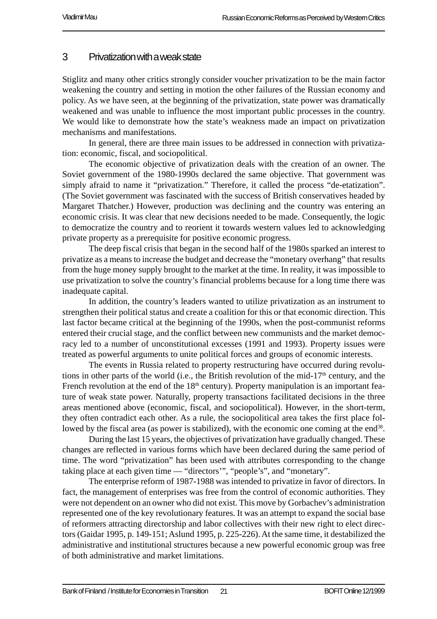#### 3 Privatization with a weak state

Stiglitz and many other critics strongly consider voucher privatization to be the main factor weakening the country and setting in motion the other failures of the Russian economy and policy. As we have seen, at the beginning of the privatization, state power was dramatically weakened and was unable to influence the most important public processes in the country. We would like to demonstrate how the state's weakness made an impact on privatization mechanisms and manifestations.

In general, there are three main issues to be addressed in connection with privatization: economic, fiscal, and sociopolitical.

The economic objective of privatization deals with the creation of an owner. The Soviet government of the 1980-1990s declared the same objective. That government was simply afraid to name it "privatization." Therefore, it called the process "de-etatization". (The Soviet government was fascinated with the success of British conservatives headed by Margaret Thatcher.) However, production was declining and the country was entering an economic crisis. It was clear that new decisions needed to be made. Consequently, the logic to democratize the country and to reorient it towards western values led to acknowledging private property as a prerequisite for positive economic progress.

The deep fiscal crisis that began in the second half of the 1980s sparked an interest to privatize as a means to increase the budget and decrease the "monetary overhang" that results from the huge money supply brought to the market at the time. In reality, it was impossible to use privatization to solve the country's financial problems because for a long time there was inadequate capital.

In addition, the country's leaders wanted to utilize privatization as an instrument to strengthen their political status and create a coalition for this or that economic direction. This last factor became critical at the beginning of the 1990s, when the post-communist reforms entered their crucial stage, and the conflict between new communists and the market democracy led to a number of unconstitutional excesses (1991 and 1993). Property issues were treated as powerful arguments to unite political forces and groups of economic interests.

The events in Russia related to property restructuring have occurred during revolutions in other parts of the world (i.e., the British revolution of the mid-17<sup>th</sup> century, and the French revolution at the end of the  $18<sup>th</sup>$  century). Property manipulation is an important feature of weak state power. Naturally, property transactions facilitated decisions in the three areas mentioned above (economic, fiscal, and sociopolitical). However, in the short-term, they often contradict each other. As a rule, the sociopolitical area takes the first place followed by the fiscal area (as power is stabilized), with the economic one coming at the end<sup>38</sup>.

During the last 15 years, the objectives of privatization have gradually changed. These changes are reflected in various forms which have been declared during the same period of time. The word "privatization" has been used with attributes corresponding to the change taking place at each given time — "directors'", "people's", and "monetary".

The enterprise reform of 1987-1988 was intended to privatize in favor of directors. In fact, the management of enterprises was free from the control of economic authorities. They were not dependent on an owner who did not exist. This move by Gorbachev's administration represented one of the key revolutionary features. It was an attempt to expand the social base of reformers attracting directorship and labor collectives with their new right to elect directors (Gaidar 1995, p. 149-151; Aslund 1995, p. 225-226). At the same time, it destabilized the administrative and institutional structures because a new powerful economic group was free of both administrative and market limitations.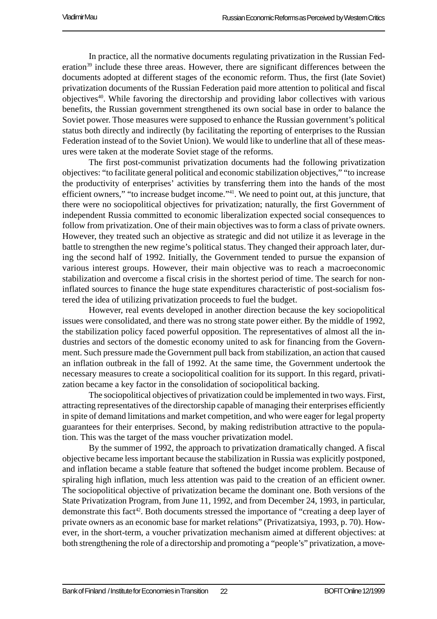In practice, all the normative documents regulating privatization in the Russian Federation<sup>39</sup> include these three areas. However, there are significant differences between the documents adopted at different stages of the economic reform. Thus, the first (late Soviet) privatization documents of the Russian Federation paid more attention to political and fiscal objectives40. While favoring the directorship and providing labor collectives with various benefits, the Russian government strengthened its own social base in order to balance the Soviet power. Those measures were supposed to enhance the Russian government's political status both directly and indirectly (by facilitating the reporting of enterprises to the Russian Federation instead of to the Soviet Union). We would like to underline that all of these measures were taken at the moderate Soviet stage of the reforms.

The first post-communist privatization documents had the following privatization objectives: "to facilitate general political and economic stabilization objectives," "to increase the productivity of enterprises' activities by transferring them into the hands of the most efficient owners," "to increase budget income."41. We need to point out, at this juncture, that there were no sociopolitical objectives for privatization; naturally, the first Government of independent Russia committed to economic liberalization expected social consequences to follow from privatization. One of their main objectives was to form a class of private owners. However, they treated such an objective as strategic and did not utilize it as leverage in the battle to strengthen the new regime's political status. They changed their approach later, during the second half of 1992. Initially, the Government tended to pursue the expansion of various interest groups. However, their main objective was to reach a macroeconomic stabilization and overcome a fiscal crisis in the shortest period of time. The search for noninflated sources to finance the huge state expenditures characteristic of post-socialism fostered the idea of utilizing privatization proceeds to fuel the budget.

However, real events developed in another direction because the key sociopolitical issues were consolidated, and there was no strong state power either. By the middle of 1992, the stabilization policy faced powerful opposition. The representatives of almost all the industries and sectors of the domestic economy united to ask for financing from the Government. Such pressure made the Government pull back from stabilization, an action that caused an inflation outbreak in the fall of 1992. At the same time, the Government undertook the necessary measures to create a sociopolitical coalition for its support. In this regard, privatization became a key factor in the consolidation of sociopolitical backing.

The sociopolitical objectives of privatization could be implemented in two ways. First, attracting representatives of the directorship capable of managing their enterprises efficiently in spite of demand limitations and market competition, and who were eager for legal property guarantees for their enterprises. Second, by making redistribution attractive to the population. This was the target of the mass voucher privatization model.

By the summer of 1992, the approach to privatization dramatically changed. A fiscal objective became less important because the stabilization in Russia was explicitly postponed, and inflation became a stable feature that softened the budget income problem. Because of spiraling high inflation, much less attention was paid to the creation of an efficient owner. The sociopolitical objective of privatization became the dominant one. Both versions of the State Privatization Program, from June 11, 1992, and from December 24, 1993, in particular, demonstrate this fact<sup>42</sup>. Both documents stressed the importance of "creating a deep layer of private owners as an economic base for market relations" (Privatizatsiya, 1993, p. 70). However, in the short-term, a voucher privatization mechanism aimed at different objectives: at both strengthening the role of a directorship and promoting a "people's" privatization, a move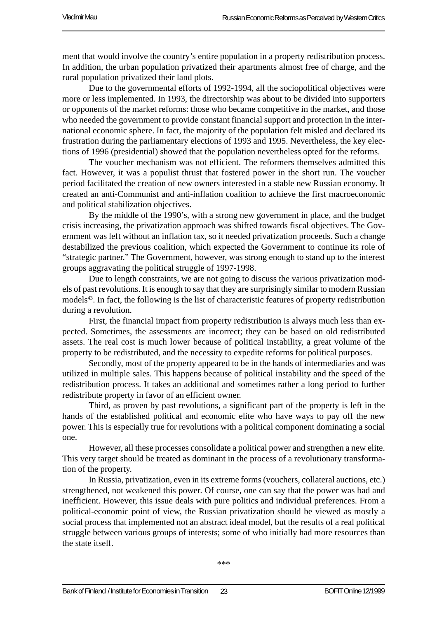ment that would involve the country's entire population in a property redistribution process. In addition, the urban population privatized their apartments almost free of charge, and the rural population privatized their land plots.

Due to the governmental efforts of 1992-1994, all the sociopolitical objectives were more or less implemented. In 1993, the directorship was about to be divided into supporters or opponents of the market reforms: those who became competitive in the market, and those who needed the government to provide constant financial support and protection in the international economic sphere. In fact, the majority of the population felt misled and declared its frustration during the parliamentary elections of 1993 and 1995. Nevertheless, the key elections of 1996 (presidential) showed that the population nevertheless opted for the reforms.

The voucher mechanism was not efficient. The reformers themselves admitted this fact. However, it was a populist thrust that fostered power in the short run. The voucher period facilitated the creation of new owners interested in a stable new Russian economy. It created an anti-Communist and anti-inflation coalition to achieve the first macroeconomic and political stabilization objectives.

By the middle of the 1990's, with a strong new government in place, and the budget crisis increasing, the privatization approach was shifted towards fiscal objectives. The Government was left without an inflation tax, so it needed privatization proceeds. Such a change destabilized the previous coalition, which expected the Government to continue its role of "strategic partner." The Government, however, was strong enough to stand up to the interest groups aggravating the political struggle of 1997-1998.

Due to length constraints, we are not going to discuss the various privatization models of past revolutions. It is enough to say that they are surprisingly similar to modern Russian models<sup>43</sup>. In fact, the following is the list of characteristic features of property redistribution during a revolution.

First, the financial impact from property redistribution is always much less than expected. Sometimes, the assessments are incorrect; they can be based on old redistributed assets. The real cost is much lower because of political instability, a great volume of the property to be redistributed, and the necessity to expedite reforms for political purposes.

Secondly, most of the property appeared to be in the hands of intermediaries and was utilized in multiple sales. This happens because of political instability and the speed of the redistribution process. It takes an additional and sometimes rather a long period to further redistribute property in favor of an efficient owner.

Third, as proven by past revolutions, a significant part of the property is left in the hands of the established political and economic elite who have ways to pay off the new power. This is especially true for revolutions with a political component dominating a social one.

However, all these processes consolidate a political power and strengthen a new elite. This very target should be treated as dominant in the process of a revolutionary transformation of the property.

In Russia, privatization, even in its extreme forms (vouchers, collateral auctions, etc.) strengthened, not weakened this power. Of course, one can say that the power was bad and inefficient. However, this issue deals with pure politics and individual preferences. From a political-economic point of view, the Russian privatization should be viewed as mostly a social process that implemented not an abstract ideal model, but the results of a real political struggle between various groups of interests; some of who initially had more resources than the state itself.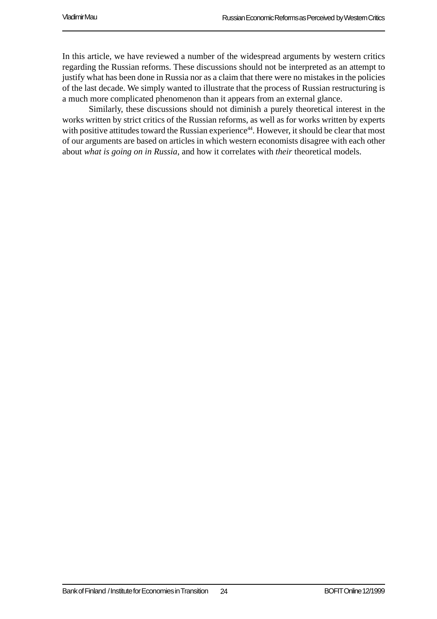In this article, we have reviewed a number of the widespread arguments by western critics regarding the Russian reforms. These discussions should not be interpreted as an attempt to justify what has been done in Russia nor as a claim that there were no mistakes in the policies of the last decade. We simply wanted to illustrate that the process of Russian restructuring is a much more complicated phenomenon than it appears from an external glance.

Similarly, these discussions should not diminish a purely theoretical interest in the works written by strict critics of the Russian reforms, as well as for works written by experts with positive attitudes toward the Russian experience<sup>44</sup>. However, it should be clear that most of our arguments are based on articles in which western economists disagree with each other about *what is going on in Russia*, and how it correlates with *their* theoretical models.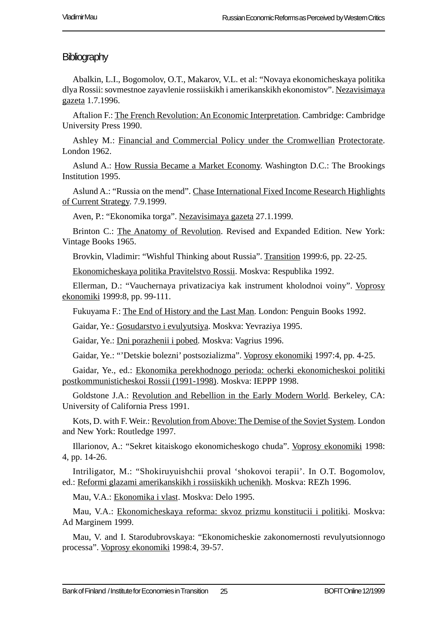#### **Bibliography**

Abalkin, L.I., Bogomolov, O.T., Makarov, V.L. et al: "Novaya ekonomicheskaya politika dlya Rossii: sovmestnoe zayavlenie rossiiskikh i amerikanskikh ekonomistov". Nezavisimaya gazeta 1.7.1996.

Aftalion F.: The French Revolution: An Economic Interpretation. Cambridge: Cambridge University Press 1990.

Ashley M.: Financial and Commercial Policy under the Cromwellian Protectorate. London 1962.

Aslund A.: How Russia Became a Market Economy. Washington D.C.: The Brookings Institution 1995.

Aslund A.: "Russia on the mend". Chase International Fixed Income Research Highlights of Current Strategy. 7.9.1999.

Aven, P.: "Ekonomika torga". Nezavisimaya gazeta 27.1.1999.

Brinton C.: The Anatomy of Revolution. Revised and Expanded Edition. New York: Vintage Books 1965.

Brovkin, Vladimir: "Wishful Thinking about Russia". Transition 1999:6, pp. 22-25.

Ekonomicheskaya politika Pravitelstvo Rossii. Moskva: Respublika 1992.

Ellerman, D.: "Vauchernaya privatizaciya kak instrument kholodnoi voiny". Voprosy ekonomiki 1999:8, pp. 99-111.

Fukuyama F.: The End of History and the Last Man. London: Penguin Books 1992.

Gaidar, Ye.: Gosudarstvo i evulyutsiya. Moskva: Yevraziya 1995.

Gaidar, Ye.: Dni porazhenii i pobed. Moskva: Vagrius 1996.

Gaidar, Ye.: "'Detskie bolezni' postsozializma". Voprosy ekonomiki 1997:4, pp. 4-25.

Gaidar, Ye., ed.: Ekonomika perekhodnogo perioda: ocherki ekonomicheskoi politiki postkommunisticheskoi Rossii (1991-1998). Moskva: IEPPP 1998.

Goldstone J.A.: Revolution and Rebellion in the Early Modern World. Berkeley, CA: University of California Press 1991.

Kots, D. with F. Weir.: Revolution from Above: The Demise of the Soviet System. London and New York: Routledge 1997.

Illarionov, A.: "Sekret kitaiskogo ekonomicheskogo chuda". Voprosy ekonomiki 1998: 4, pp. 14-26.

Intriligator, M.: "Shokiruyuishchii proval 'shokovoi terapii'. In O.T. Bogomolov, ed.: Reformi glazami amerikanskikh i rossiiskikh uchenikh. Moskva: REZh 1996.

Mau, V.A.: Ekonomika i vlast. Moskva: Delo 1995.

Mau, V.A.: Ekonomicheskaya reforma: skvoz prizmu konstitucii i politiki. Moskva: Ad Marginem 1999.

Mau, V. and I. Starodubrovskaya: "Ekonomicheskie zakonomernosti revulyutsionnogo processa". Voprosy ekonomiki 1998:4, 39-57.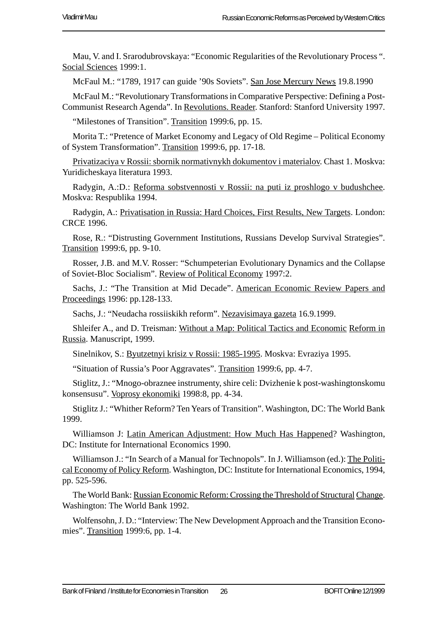Mau, V. and I. Srarodubrovskaya: "Economic Regularities of the Revolutionary Process ". Social Sciences 1999:1.

McFaul M.: "1789, 1917 can guide '90s Soviets". San Jose Mercury News 19.8.1990

McFaul M.: "Revolutionary Transformations in Comparative Perspective: Defining a Post-Communist Research Agenda". In Revolutions. Reader. Stanford: Stanford University 1997.

"Milestones of Transition". Transition 1999:6, pp. 15.

Morita T.: "Pretence of Market Economy and Legacy of Old Regime – Political Economy of System Transformation". Transition 1999:6, pp. 17-18.

Privatizaciya v Rossii: sbornik normativnykh dokumentov i materialov. Chast 1. Moskva: Yuridicheskaya literatura 1993.

Radygin, A.:D.: Reforma sobstvennosti v Rossii: na puti iz proshlogo v budushchee. Moskva: Respublika 1994.

Radygin, A.: Privatisation in Russia: Hard Choices, First Results, New Targets. London: CRCE 1996.

Rose, R.: "Distrusting Government Institutions, Russians Develop Survival Strategies". Transition 1999:6, pp. 9-10.

Rosser, J.B. and M.V. Rosser: "Schumpeterian Evolutionary Dynamics and the Collapse of Soviet-Bloc Socialism". Review of Political Economy 1997:2.

Sachs, J.: "The Transition at Mid Decade". American Economic Review Papers and Proceedings 1996: pp.128-133.

Sachs, J.: "Neudacha rossiiskikh reform". Nezavisimaya gazeta 16.9.1999.

Shleifer A., and D. Treisman: Without a Map: Political Tactics and Economic Reform in Russia. Manuscript, 1999.

Sinelnikov, S.: Byutzetnyi krisiz v Rossii: 1985-1995. Moskva: Evraziya 1995.

"Situation of Russia's Poor Aggravates". Transition 1999:6, pp. 4-7.

Stiglitz, J.: "Mnogo-obraznee instrumenty, shire celi: Dvizhenie k post-washingtonskomu konsensusu". Voprosy ekonomiki 1998:8, pp. 4-34.

Stiglitz J.: "Whither Reform? Ten Years of Transition". Washington, DC: The World Bank 1999.

Williamson J: Latin American Adjustment: How Much Has Happened? Washington, DC: Institute for International Economics 1990.

Williamson J.: "In Search of a Manual for Technopols". In J. Williamson (ed.): The Political Economy of Policy Reform. Washington, DC: Institute for International Economics, 1994, pp. 525-596.

The World Bank: Russian Economic Reform: Crossing the Threshold of Structural Change. Washington: The World Bank 1992.

Wolfensohn, J. D.: "Interview: The New Development Approach and the Transition Economies". Transition 1999:6, pp. 1-4.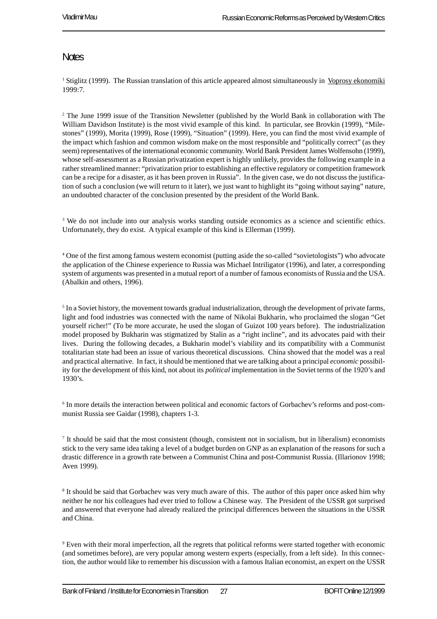#### **Notes**

<sup>1</sup> Stiglitz (1999). The Russian translation of this article appeared almost simultaneously in Voprosy ekonomiki 1999:7.

<sup>2</sup> The June 1999 issue of the Transition Newsletter (published by the World Bank in collaboration with The William Davidson Institute) is the most vivid example of this kind. In particular, see Brovkin (1999), "Milestones" (1999), Morita (1999), Rose (1999), "Situation" (1999). Here, you can find the most vivid example of the impact which fashion and common wisdom make on the most responsible and "politically correct" (as they seem) representatives of the international economic community. World Bank President James Wolfensohn (1999), whose self-assessment as a Russian privatization expert is highly unlikely, provides the following example in a rather streamlined manner: "privatization prior to establishing an effective regulatory or competition framework can be a recipe for a disaster, as it has been proven in Russia". In the given case, we do not discuss the justification of such a conclusion (we will return to it later), we just want to highlight its "going without saying" nature, an undoubted character of the conclusion presented by the president of the World Bank.

<sup>3</sup> We do not include into our analysis works standing outside economics as a science and scientific ethics. Unfortunately, they do exist. A typical example of this kind is Ellerman (1999).

4 One of the first among famous western economist (putting aside the so-called "sovietologists") who advocate the application of the Chinese experience to Russia was Michael Intriligator (1996), and later, a corresponding system of arguments was presented in a mutual report of a number of famous economists of Russia and the USA. (Abalkin and others, 1996).

 $<sup>5</sup>$  In a Soviet history, the movement towards gradual industrialization, through the development of private farms,</sup> light and food industries was connected with the name of Nikolai Bukharin, who proclaimed the slogan "Get yourself richer!" (To be more accurate, he used the slogan of Guizot 100 years before). The industrialization model proposed by Bukharin was stigmatized by Stalin as a "right incline", and its advocates paid with their lives. During the following decades, a Bukharin model's viability and its compatibility with a Communist totalitarian state had been an issue of various theoretical discussions. China showed that the model was a real and practical alternative. In fact, it should be mentioned that we are talking about a principal *economic* possibility for the development of this kind, not about its *political* implementation in the Soviet terms of the 1920's and 1930's.

6 In more details the interaction between political and economic factors of Gorbachev's reforms and post-communist Russia see Gaidar (1998), chapters 1-3.

7 It should be said that the most consistent (though, consistent not in socialism, but in liberalism) economists stick to the very same idea taking a level of a budget burden on GNP as an explanation of the reasons for such a drastic difference in a growth rate between a Communist China and post-Communist Russia. (Illarionov 1998; Aven 1999).

<sup>8</sup> It should be said that Gorbachev was very much aware of this. The author of this paper once asked him why neither he nor his colleagues had ever tried to follow a Chinese way. The President of the USSR got surprised and answered that everyone had already realized the principal differences between the situations in the USSR and China.

9 Even with their moral imperfection, all the regrets that political reforms were started together with economic (and sometimes before), are very popular among western experts (especially, from a left side). In this connection, the author would like to remember his discussion with a famous Italian economist, an expert on the USSR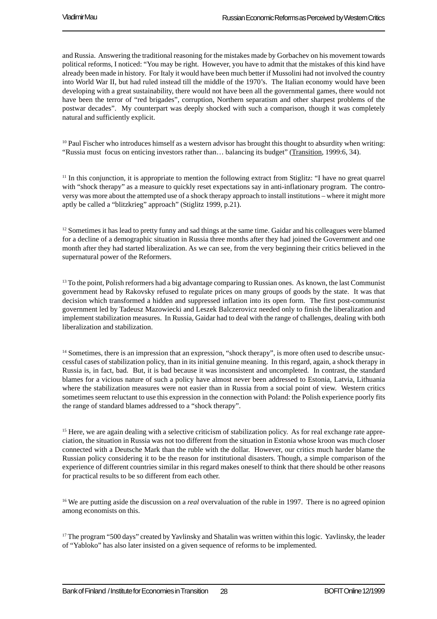and Russia. Answering the traditional reasoning for the mistakes made by Gorbachev on his movement towards political reforms, I noticed: "You may be right. However, you have to admit that the mistakes of this kind have already been made in history. For Italy it would have been much better if Mussolini had not involved the country into World War II, but had ruled instead till the middle of the 1970's. The Italian economy would have been developing with a great sustainability, there would not have been all the governmental games, there would not have been the terror of "red brigades", corruption, Northern separatism and other sharpest problems of the postwar decades". My counterpart was deeply shocked with such a comparison, though it was completely natural and sufficiently explicit.

<sup>10</sup> Paul Fischer who introduces himself as a western advisor has brought this thought to absurdity when writing: "Russia must focus on enticing investors rather than… balancing its budget" (Transition, 1999:6, 34).

<sup>11</sup> In this conjunction, it is appropriate to mention the following extract from Stiglitz: "I have no great quarrel with "shock therapy" as a measure to quickly reset expectations say in anti-inflationary program. The controversy was more about the attempted use of a shock therapy approach to install institutions – where it might more aptly be called a "blitzkrieg" approach" (Stiglitz 1999, p.21).

<sup>12</sup> Sometimes it has lead to pretty funny and sad things at the same time. Gaidar and his colleagues were blamed for a decline of a demographic situation in Russia three months after they had joined the Government and one month after they had started liberalization. As we can see, from the very beginning their critics believed in the supernatural power of the Reformers.

<sup>13</sup> To the point, Polish reformers had a big advantage comparing to Russian ones. As known, the last Communist government head by Rakovsky refused to regulate prices on many groups of goods by the state. It was that decision which transformed a hidden and suppressed inflation into its open form. The first post-communist government led by Tadeusz Mazowiecki and Leszek Balczerovicz needed only to finish the liberalization and implement stabilization measures. In Russia, Gaidar had to deal with the range of challenges, dealing with both liberalization and stabilization.

<sup>14</sup> Sometimes, there is an impression that an expression, "shock therapy", is more often used to describe unsuccessful cases of stabilization policy, than in its initial genuine meaning. In this regard, again, a shock therapy in Russia is, in fact, bad. But, it is bad because it was inconsistent and uncompleted. In contrast, the standard blames for a vicious nature of such a policy have almost never been addressed to Estonia, Latvia, Lithuania where the stabilization measures were not easier than in Russia from a social point of view. Western critics sometimes seem reluctant to use this expression in the connection with Poland: the Polish experience poorly fits the range of standard blames addressed to a "shock therapy".

<sup>15</sup> Here, we are again dealing with a selective criticism of stabilization policy. As for real exchange rate appreciation, the situation in Russia was not too different from the situation in Estonia whose kroon was much closer connected with a Deutsche Mark than the ruble with the dollar. However, our critics much harder blame the Russian policy considering it to be the reason for institutional disasters. Though, a simple comparison of the experience of different countries similar in this regard makes oneself to think that there should be other reasons for practical results to be so different from each other.

<sup>16</sup> We are putting aside the discussion on a *real* overvaluation of the ruble in 1997. There is no agreed opinion among economists on this.

<sup>17</sup> The program "500 days" created by Yavlinsky and Shatalin was written within this logic. Yavlinsky, the leader of "Yabloko" has also later insisted on a given sequence of reforms to be implemented.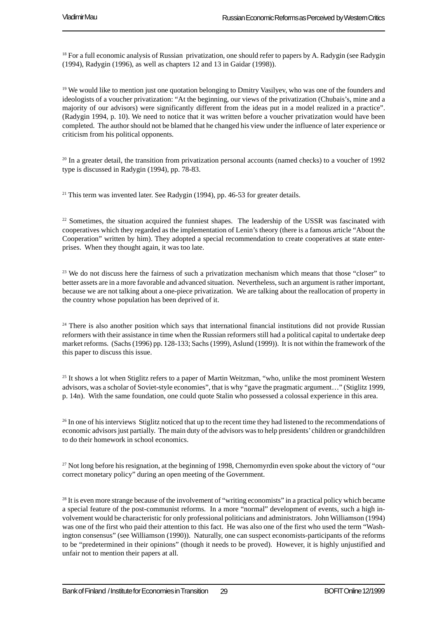<sup>18</sup> For a full economic analysis of Russian privatization, one should refer to papers by A. Radygin (see Radygin (1994), Radygin (1996), as well as chapters 12 and 13 in Gaidar (1998)).

<sup>19</sup> We would like to mention just one quotation belonging to Dmitry Vasilyev, who was one of the founders and ideologists of a voucher privatization: "At the beginning, our views of the privatization (Chubais's, mine and a majority of our advisors) were significantly different from the ideas put in a model realized in a practice". (Radygin 1994, p. 10). We need to notice that it was written before a voucher privatization would have been completed. The author should not be blamed that he changed his view under the influence of later experience or criticism from his political opponents.

<sup>20</sup> In a greater detail, the transition from privatization personal accounts (named checks) to a voucher of 1992 type is discussed in Radygin (1994), pp. 78-83.

<sup>21</sup> This term was invented later. See Radygin (1994), pp. 46-53 for greater details.

<sup>22</sup> Sometimes, the situation acquired the funniest shapes. The leadership of the USSR was fascinated with cooperatives which they regarded as the implementation of Lenin's theory (there is a famous article "About the Cooperation" written by him). They adopted a special recommendation to create cooperatives at state enterprises. When they thought again, it was too late.

<sup>23</sup> We do not discuss here the fairness of such a privatization mechanism which means that those "closer" to better assets are in a more favorable and advanced situation. Nevertheless, such an argument is rather important, because we are not talking about a one-piece privatization. We are talking about the reallocation of property in the country whose population has been deprived of it.

<sup>24</sup> There is also another position which says that international financial institutions did not provide Russian reformers with their assistance in time when the Russian reformers still had a political capital to undertake deep market reforms. (Sachs (1996) pp. 128-133; Sachs (1999), Aslund (1999)). It is not within the framework of the this paper to discuss this issue.

<sup>25</sup> It shows a lot when Stiglitz refers to a paper of Martin Weitzman, "who, unlike the most prominent Western advisors, was a scholar of Soviet-style economies", that is why "gave the pragmatic argument…" (Stiglitz 1999, p. 14n). With the same foundation, one could quote Stalin who possessed a colossal experience in this area.

<sup>26</sup> In one of his interviews Stiglitz noticed that up to the recent time they had listened to the recommendations of economic advisors just partially. The main duty of the advisors was to help presidents' children or grandchildren to do their homework in school economics.

<sup>27</sup> Not long before his resignation, at the beginning of 1998, Chernomyrdin even spoke about the victory of "our correct monetary policy" during an open meeting of the Government.

<sup>28</sup> It is even more strange because of the involvement of "writing economists" in a practical policy which became a special feature of the post-communist reforms. In a more "normal" development of events, such a high involvement would be characteristic for only professional politicians and administrators. John Williamson (1994) was one of the first who paid their attention to this fact. He was also one of the first who used the term "Washington consensus" (see Williamson (1990)). Naturally, one can suspect economists-participants of the reforms to be "predetermined in their opinions" (though it needs to be proved). However, it is highly unjustified and unfair not to mention their papers at all.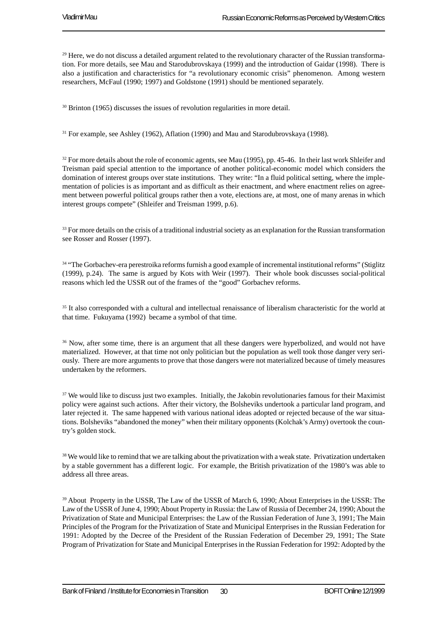$^{29}$  Here, we do not discuss a detailed argument related to the revolutionary character of the Russian transformation. For more details, see Mau and Starodubrovskaya (1999) and the introduction of Gaidar (1998). There is also a justification and characteristics for "a revolutionary economic crisis" phenomenon. Among western researchers, McFaul (1990; 1997) and Goldstone (1991) should be mentioned separately.

<sup>30</sup> Brinton (1965) discusses the issues of revolution regularities in more detail.

31 For example, see Ashley (1962), Aflation (1990) and Mau and Starodubrovskaya (1998).

<sup>32</sup> For more details about the role of economic agents, see Mau (1995), pp. 45-46. In their last work Shleifer and Treisman paid special attention to the importance of another political-economic model which considers the domination of interest groups over state institutions. They write: "In a fluid political setting, where the implementation of policies is as important and as difficult as their enactment, and where enactment relies on agreement between powerful political groups rather then a vote, elections are, at most, one of many arenas in which interest groups compete" (Shleifer and Treisman 1999, p.6).

<sup>33</sup> For more details on the crisis of a traditional industrial society as an explanation for the Russian transformation see Rosser and Rosser (1997).

<sup>34</sup> "The Gorbachev-era perestroika reforms furnish a good example of incremental institutional reforms" (Stiglitz (1999), p.24). The same is argued by Kots with Weir (1997). Their whole book discusses social-political reasons which led the USSR out of the frames of the "good" Gorbachev reforms.

35 It also corresponded with a cultural and intellectual renaissance of liberalism characteristic for the world at that time. Fukuyama (1992) became a symbol of that time.

<sup>36</sup> Now, after some time, there is an argument that all these dangers were hyperbolized, and would not have materialized. However, at that time not only politician but the population as well took those danger very seriously. There are more arguments to prove that those dangers were not materialized because of timely measures undertaken by the reformers.

<sup>37</sup> We would like to discuss just two examples. Initially, the Jakobin revolutionaries famous for their Maximist policy were against such actions. After their victory, the Bolsheviks undertook a particular land program, and later rejected it. The same happened with various national ideas adopted or rejected because of the war situations. Bolsheviks "abandoned the money" when their military opponents (Kolchak's Army) overtook the country's golden stock.

<sup>38</sup> We would like to remind that we are talking about the privatization with a weak state. Privatization undertaken by a stable government has a different logic. For example, the British privatization of the 1980's was able to address all three areas.

39 About Property in the USSR, The Law of the USSR of March 6, 1990; About Enterprises in the USSR: The Law of the USSR of June 4, 1990; About Property in Russia: the Law of Russia of December 24, 1990; About the Privatization of State and Municipal Enterprises: the Law of the Russian Federation of June 3, 1991; The Main Principles of the Program for the Privatization of State and Municipal Enterprises in the Russian Federation for 1991: Adopted by the Decree of the President of the Russian Federation of December 29, 1991; The State Program of Privatization for State and Municipal Enterprises in the Russian Federation for 1992: Adopted by the